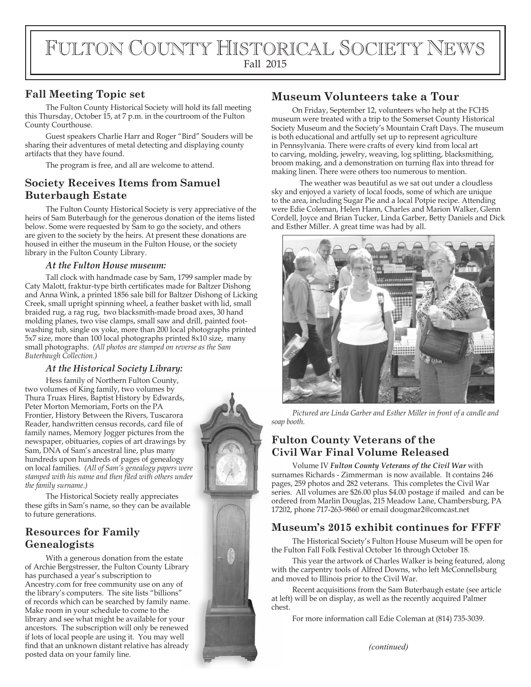# FULTON COUNTY HISTORICAL SOCIETY NEWS Fall 2015

#### **Fall Meeting Topic set**

The Fulton County Historical Society will hold its fall meeting this Thursday, October 15, at 7 p.m. in the courtroom of the Fulton County Courthouse.

Guest speakers Charlie Harr and Roger "Bird" Souders will be sharing their adventures of metal detecting and displaying county artifacts that they have found.

The program is free, and all are welcome to attend.

#### **Society Receives Items from Samuel Buterbaugh Estate**

The Fulton County Historical Society is very appreciative of the heirs of Sam Buterbaugh for the generous donation of the items listed below. Some were requested by Sam to go the society, and others are given to the society by the heirs. At present these donations are housed in either the museum in the Fulton House, or the society library in the Fulton County Library.

#### *At the Fulton House museum:*

Tall clock with handmade case by Sam, 1799 sampler made by Caty Malott, fraktur-type birth certificates made for Baltzer Dishong and Anna Wink, a printed 1856 sale bill for Baltzer Dishong of Licking Creek, small upright spinning wheel, a feather basket with lid, small braided rug, a rag rug, two blacksmith-made broad axes, 30 hand molding planes, two vise clamps, small saw and drill, painted footwashing tub, single ox yoke, more than 200 local photographs printed 5x7 size, more than 100 local photographs printed 8x10 size, many small photographs. *(All photos are stamped on reverse as the Sam Buterbaugh Collection.)*

#### *At the Historical Society Library:*

Hess family of Northern Fulton County, two volumes of King family, two volumes by Thura Truax Hires, Baptist History by Edwards, Peter Morton Memoriam, Forts on the PA Frontier, History Between the Rivers, Tuscarora Reader, handwritten census records, card file of family names, Memory Jogger pictures from the newspaper, obituaries, copies of art drawings by Sam, DNA of Sam's ancestral line, plus many hundreds upon hundreds of pages of genealogy on local families. *(All of Sam's genealogy papers were*  stamped with his name and then filed with others under *the family surname.)*

The Historical Society really appreciates these gifts in Sam's name, so they can be available to future generations.

### **Resources for Family Genealogists**

With a generous donation from the estate of Archie Bergstresser, the Fulton County Library has purchased a year's subscription to Ancestry.com for free community use on any of the library's computers. The site lists "billions" of records which can be searched by family name. Make room in your schedule to come to the library and see what might be available for your ancestors. The subscription will only be renewed if lots of local people are using it. You may well find that an unknown distant relative has already *(continued) (continued) (continued)* 



# **Museum Volunteers take a Tour**

On Friday, September 12, volunteers who help at the FCHS museum were treated with a trip to the Somerset County Historical Society Museum and the Society's Mountain Craft Days. The museum is both educational and artfully set up to represent agriculture in Pennsylvania. There were crafts of every kind from local art to carving, molding, jewelry, weaving, log splitting, blacksmithing, broom making, and a demonstration on turning flax into thread for making linen. There were others too numerous to mention.

 The weather was beautiful as we sat out under a cloudless sky and enjoyed a variety of local foods, some of which are unique to the area, including Sugar Pie and a local Potpie recipe. Attending were Edie Coleman, Helen Hann, Charles and Marion Walker, Glenn Cordell, Joyce and Brian Tucker, Linda Garber, Betty Daniels and Dick and Esther Miller. A great time was had by all.



*Pictured are Linda Garber and Esther Miller in front of a candle and soap booth.* 

# **Fulton County Veterans of the Civil War Final Volume Released**

Volume IV *Fulton County Veterans of the Civil War* with surnames Richards - Zimmerman is now available. It contains 246 pages, 259 photos and 282 veterans. This completes the Civil War series. All volumes are \$26.00 plus \$4.00 postage if mailed and can be ordered from Marlin Douglas, 215 Meadow Lane, Chambersburg, PA 17202, phone 717-263-9860 or email dougmar2@comcast.net

### **Museum's 2015 exhibit continues for FFFF**

The Historical Society's Fulton House Museum will be open for the Fulton Fall Folk Festival October 16 through October 18.

This year the artwork of Charles Walker is being featured, along with the carpentry tools of Alfred Downs, who left McConnellsburg and moved to Illinois prior to the Civil War.

Recent acquisitions from the Sam Buterbaugh estate (see article at left) will be on display, as well as the recently acquired Palmer chest.

For more information call Edie Coleman at (814) 735-3039.